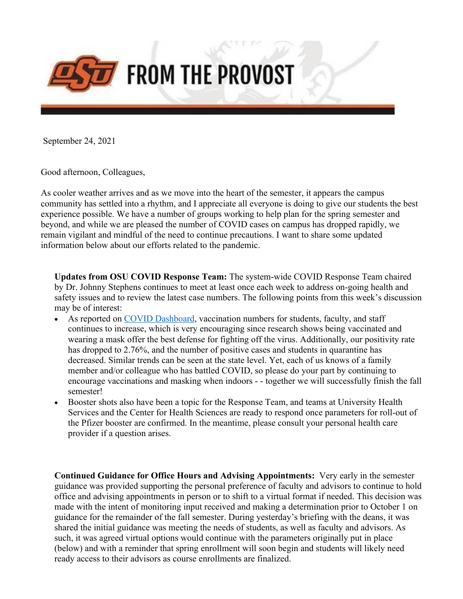

September 24, 2021

Good afternoon, Colleagues,

As cooler weather arrives and as we move into the heart of the semester, it appears the campus community has settled into a rhythm, and I appreciate all everyone is doing to give our students the best experience possible. We have a number of groups working to help plan for the spring semester and beyond, and while we are pleased the number of COVID cases on campus has dropped rapidly, we remain vigilant and mindful of the need to continue precautions. I want to share some updated information below about our efforts related to the pandemic.

**Updates from OSU COVID Response Team:** The system-wide COVID Response Team chaired by Dr. Johnny Stephens continues to meet at least once each week to address on-going health and safety issues and to review the latest case numbers. The following points from this week's discussion may be of interest:

- As reported on COVID Dashboard, vaccination numbers for students, faculty, and staff continues to increase, which is very encouraging since research shows being vaccinated and wearing a mask offer the best defense for fighting off the virus. Additionally, our positivity rate has dropped to 2.76%, and the number of positive cases and students in quarantine has decreased. Similar trends can be seen at the state level. Yet, each of us knows of a family member and/or colleague who has battled COVID, so please do your part by continuing to encourage vaccinations and masking when indoors - - together we will successfully finish the fall semester!
- Booster shots also have been a topic for the Response Team, and teams at University Health Services and the Center for Health Sciences are ready to respond once parameters for roll-out of the Pfizer booster are confirmed. In the meantime, please consult your personal health care provider if a question arises.

**Continued Guidance for Office Hours and Advising Appointments:** Very early in the semester guidance was provided supporting the personal preference of faculty and advisors to continue to hold office and advising appointments in person or to shift to a virtual format if needed. This decision was made with the intent of monitoring input received and making a determination prior to October 1 on guidance for the remainder of the fall semester. During yesterday's briefing with the deans, it was shared the initial guidance was meeting the needs of students, as well as faculty and advisors. As such, it was agreed virtual options would continue with the parameters originally put in place (below) and with a reminder that spring enrollment will soon begin and students will likely need ready access to their advisors as course enrollments are finalized.